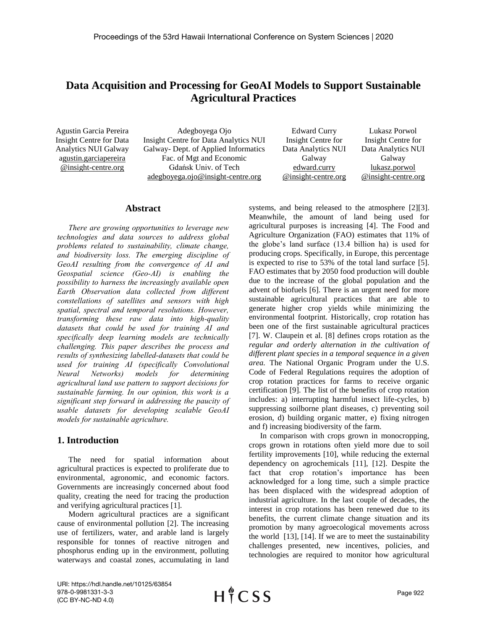# **Data Acquisition and Processing for GeoAI Models to Support Sustainable Agricultural Practices**

Agustin Garcia Pereira Insight Centre for Data Analytics NUI Galway agustin.garciapereira @insight-centre.org

Adegboyega Ojo Insight Centre for Data Analytics NUI Galway- Dept. of Applied Informatics Fac. of Mgt and Economic Gdańsk Univ. of Tech adegboyega.ojo@insight-centre.org

Edward Curry Insight Centre for Data Analytics NUI Galway edward.curry @insight-centre.org Lukasz Porwol

### Insight Centre for Data Analytics NUI Galway lukasz.porwol @insight-centre.org

#### **Abstract**

*There are growing opportunities to leverage new technologies and data sources to address global problems related to sustainability, climate change, and biodiversity loss. The emerging discipline of GeoAI resulting from the convergence of AI and Geospatial science (Geo-AI) is enabling the possibility to harness the increasingly available open Earth Observation data collected from different constellations of satellites and sensors with high spatial, spectral and temporal resolutions. However, transforming these raw data into high-quality datasets that could be used for training AI and specifically deep learning models are technically challenging. This paper describes the process and results of synthesizing labelled-datasets that could be used for training AI (specifically Convolutional Neural Networks) models for determining agricultural land use pattern to support decisions for sustainable farming. In our opinion, this work is a significant step forward in addressing the paucity of usable datasets for developing scalable GeoAI models for sustainable agriculture.*

## **1. Introduction**

The need for spatial information about agricultural practices is expected to proliferate due to environmental, agronomic, and economic factors. Governments are increasingly concerned about food quality, creating the need for tracing the production and verifying agricultural practices [1].

Modern agricultural practices are a significant cause of environmental pollution [2]. The increasing use of fertilizers, water, and arable land is largely responsible for tonnes of reactive nitrogen and phosphorus ending up in the environment, polluting waterways and coastal zones, accumulating in land systems, and being released to the atmosphere [2][3]. Meanwhile, the amount of land being used for agricultural purposes is increasing [4]. The Food and Agriculture Organization (FAO) estimates that 11% of the globe's land surface (13.4 billion ha) is used for producing crops. Specifically, in Europe, this percentage is expected to rise to 53% of the total land surface [5]. FAO estimates that by 2050 food production will double due to the increase of the global population and the advent of biofuels [6]. There is an urgent need for more sustainable agricultural practices that are able to generate higher crop yields while minimizing the environmental footprint. Historically, crop rotation has been one of the first sustainable agricultural practices [7]. W. Claupein et al. [8] defines crops rotation as the *regular and orderly alternation in the cultivation of different plant species in a temporal sequence in a given area.* The National Organic Program under the U.S. Code of Federal Regulations requires the adoption of crop rotation practices for farms to receive organic certification [9]. The list of the benefits of crop rotation includes: a) interrupting harmful insect life-cycles, b) suppressing soilborne plant diseases, c) preventing soil erosion, d) building organic matter, e) fixing nitrogen and f) increasing biodiversity of the farm.

In comparison with crops grown in monocropping, crops grown in rotations often yield more due to soil fertility improvements [10], while reducing the external dependency on agrochemicals [11], [12]. Despite the fact that crop rotation's importance has been acknowledged for a long time, such a simple practice has been displaced with the widespread adoption of industrial agriculture. In the last couple of decades, the interest in crop rotations has been renewed due to its benefits, the current climate change situation and its promotion by many agroecological movements across the world [13], [14]. If we are to meet the sustainability challenges presented, new incentives, policies, and technologies are required to monitor how agricultural

URI: https://hdl.handle.net/10125/63854 978-0-9981331-3-3 (CC BY-NC-ND 4.0)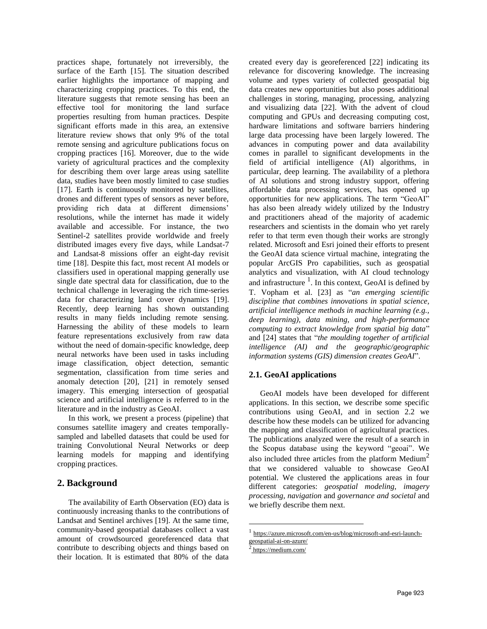practices shape, fortunately not irreversibly, the surface of the Earth [15]. The situation described earlier highlights the importance of mapping and characterizing cropping practices. To this end, the literature suggests that remote sensing has been an effective tool for monitoring the land surface properties resulting from human practices. Despite significant efforts made in this area, an extensive literature review shows that only 9% of the total remote sensing and agriculture publications focus on cropping practices [16]. Moreover, due to the wide variety of agricultural practices and the complexity for describing them over large areas using satellite data, studies have been mostly limited to case studies [17]. Earth is continuously monitored by satellites, drones and different types of sensors as never before, providing rich data at different dimensions' resolutions, while the internet has made it widely available and accessible. For instance, the two Sentinel-2 satellites provide worldwide and freely distributed images every five days, while Landsat-7 and Landsat-8 missions offer an eight-day revisit time [18]. Despite this fact, most recent AI models or classifiers used in operational mapping generally use single date spectral data for classification, due to the technical challenge in leveraging the rich time-series data for characterizing land cover dynamics [19]. Recently, deep learning has shown outstanding results in many fields including remote sensing. Harnessing the ability of these models to learn feature representations exclusively from raw data without the need of domain-specific knowledge, deep neural networks have been used in tasks including image classification, object detection, semantic segmentation, classification from time series and anomaly detection [20], [21] in remotely sensed imagery. This emerging intersection of geospatial science and artificial intelligence is referred to in the literature and in the industry as GeoAI.

In this work, we present a process (pipeline) that consumes satellite imagery and creates temporallysampled and labelled datasets that could be used for training Convolutional Neural Networks or deep learning models for mapping and identifying cropping practices.

### **2. Background**

The availability of Earth Observation (EO) data is continuously increasing thanks to the contributions of Landsat and Sentinel archives [19]. At the same time, community-based geospatial databases collect a vast amount of crowdsourced georeferenced data that contribute to describing objects and things based on their location. It is estimated that 80% of the data

created every day is georeferenced [22] indicating its relevance for discovering knowledge. The increasing volume and types variety of collected geospatial big data creates new opportunities but also poses additional challenges in storing, managing, processing, analyzing and visualizing data [22]. With the advent of cloud computing and GPUs and decreasing computing cost, hardware limitations and software barriers hindering large data processing have been largely lowered. The advances in computing power and data availability comes in parallel to significant developments in the field of artificial intelligence (AI) algorithms, in particular, deep learning. The availability of a plethora of AI solutions and strong industry support, offering affordable data processing services, has opened up opportunities for new applications. The term "GeoAI" has also been already widely utilized by the Industry and practitioners ahead of the majority of academic researchers and scientists in the domain who yet rarely refer to that term even though their works are strongly related. Microsoft and Esri joined their efforts to present the GeoAI data science virtual machine, integrating the popular ArcGIS Pro capabilities, such as geospatial analytics and visualization, with AI cloud technology and infrastructure  $<sup>1</sup>$ . In this context, GeoAI is defined by</sup> T. Vopham et al. [23] as "*an emerging scientific discipline that combines innovations in spatial science, artificial intelligence methods in machine learning (e.g., deep learning), data mining, and high-performance computing to extract knowledge from spatial big data*" and [24] states that "*the moulding together of artificial intelligence (AI) and the geographic/geographic information systems (GIS) dimension creates GeoAI*".

### **2.1. GeoAI applications**

GeoAI models have been developed for different applications. In this section, we describe some specific contributions using GeoAI, and in section 2.2 we describe how these models can be utilized for advancing the mapping and classification of agricultural practices. The publications analyzed were the result of a search in the Scopus database using the keyword "geoai". We also included three articles from the platform Medium<sup>2</sup> that we considered valuable to showcase GeoAI potential. We clustered the applications areas in four different categories: *geospatial modeling*, *imagery processing*, *navigation* and *governance and societal* and we briefly describe them next.

 $\overline{a}$ 

<sup>1</sup> [https://azure.microsoft.com/en-us/blog/microsoft-and-esri-launch](https://azure.microsoft.com/en-us/blog/microsoft-and-esri-launch-geospatial-ai-on-azure/)[geospatial-ai-on-azure/](https://azure.microsoft.com/en-us/blog/microsoft-and-esri-launch-geospatial-ai-on-azure/)

<sup>2</sup> <https://medium.com/>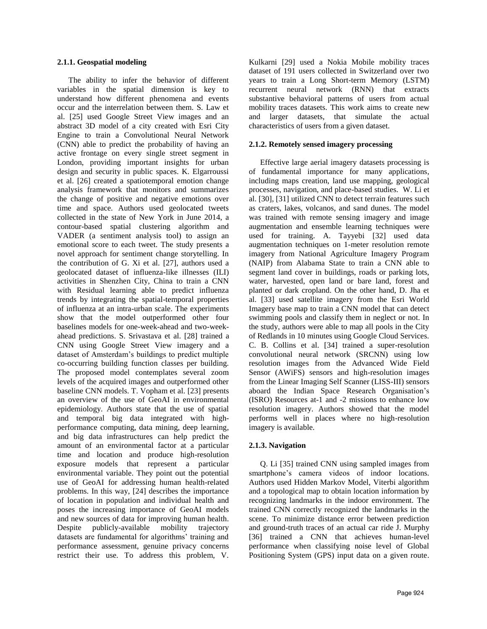#### **2.1.1. Geospatial modeling**

The ability to infer the behavior of different variables in the spatial dimension is key to understand how different phenomena and events occur and the interrelation between them. S. Law et al. [25] used Google Street View images and an abstract 3D model of a city created with Esri City Engine to train a Convolutional Neural Network (CNN) able to predict the probability of having an active frontage on every single street segment in London, providing important insights for urban design and security in public spaces. K. Elgarroussi et al. [26] created a spatiotemporal emotion change analysis framework that monitors and summarizes the change of positive and negative emotions over time and space. Authors used geolocated tweets collected in the state of New York in June 2014, a contour-based spatial clustering algorithm and VADER (a sentiment analysis tool) to assign an emotional score to each tweet. The study presents a novel approach for sentiment change storytelling. In the contribution of G. Xi et al. [27], authors used a geolocated dataset of influenza-like illnesses (ILI) activities in Shenzhen City, China to train a CNN with Residual learning able to predict influenza trends by integrating the spatial-temporal properties of influenza at an intra-urban scale. The experiments show that the model outperformed other four baselines models for one-week-ahead and two-weekahead predictions. S. Srivastava et al. [28] trained a CNN using Google Street View imagery and a dataset of Amsterdam's buildings to predict multiple co-occurring building function classes per building. The proposed model contemplates several zoom levels of the acquired images and outperformed other baseline CNN models. T. Vopham et al. [23] presents an overview of the use of GeoAI in environmental epidemiology. Authors state that the use of spatial and temporal big data integrated with highperformance computing, data mining, deep learning, and big data infrastructures can help predict the amount of an environmental factor at a particular time and location and produce high-resolution exposure models that represent a particular environmental variable. They point out the potential use of GeoAI for addressing human health-related problems. In this way, [24] describes the importance of location in population and individual health and poses the increasing importance of GeoAI models and new sources of data for improving human health. Despite publicly-available mobility trajectory datasets are fundamental for algorithms' training and performance assessment, genuine privacy concerns restrict their use. To address this problem, V. Kulkarni [29] used a Nokia Mobile mobility traces dataset of 191 users collected in Switzerland over two years to train a Long Short-term Memory (LSTM) recurrent neural network (RNN) that extracts substantive behavioral patterns of users from actual mobility traces datasets. This work aims to create new and larger datasets, that simulate the actual characteristics of users from a given dataset.

#### **2.1.2. Remotely sensed imagery processing**

Effective large aerial imagery datasets processing is of fundamental importance for many applications, including maps creation, land use mapping, geological processes, navigation, and place-based studies. W. Li et al. [30], [31] utilized CNN to detect terrain features such as craters, lakes, volcanos, and sand dunes. The model was trained with remote sensing imagery and image augmentation and ensemble learning techniques were used for training. A. Tayyebi [32] used data augmentation techniques on 1-meter resolution remote imagery from National Agriculture Imagery Program (NAIP) from Alabama State to train a CNN able to segment land cover in buildings, roads or parking lots, water, harvested, open land or bare land, forest and planted or dark cropland. On the other hand, D. Jha et al. [33] used satellite imagery from the Esri World Imagery base map to train a CNN model that can detect swimming pools and classify them in neglect or not. In the study, authors were able to map all pools in the City of Redlands in 10 minutes using Google Cloud Services. C. B. Collins et al. [34] trained a super-resolution convolutional neural network (SRCNN) using low resolution images from the Advanced Wide Field Sensor (AWiFS) sensors and high-resolution images from the Linear Imaging Self Scanner (LISS-III) sensors aboard the Indian Space Research Organisation's (ISRO) Resources at-1 and -2 missions to enhance low resolution imagery. Authors showed that the model performs well in places where no high-resolution imagery is available.

### **2.1.3. Navigation**

Q. Li [35] trained CNN using sampled images from smartphone's camera videos of indoor locations. Authors used Hidden Markov Model, Viterbi algorithm and a topological map to obtain location information by recognizing landmarks in the indoor environment. The trained CNN correctly recognized the landmarks in the scene. To minimize distance error between prediction and ground-truth traces of an actual car ride J. Murphy [36] trained a CNN that achieves human-level performance when classifying noise level of Global Positioning System (GPS) input data on a given route.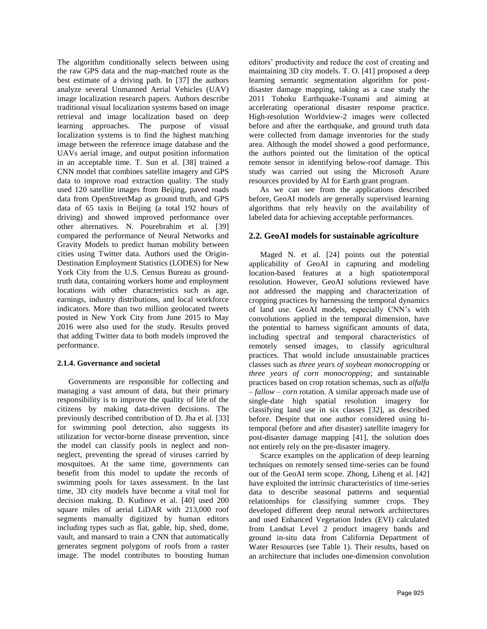The algorithm conditionally selects between using the raw GPS data and the map-matched route as the best estimate of a driving path. In [37] the authors analyze several Unmanned Aerial Vehicles (UAV) image localization research papers. Authors describe traditional visual localization systems based on image retrieval and image localization based on deep learning approaches. The purpose of visual localization systems is to find the highest matching image between the reference image database and the UAVs aerial image, and output position information in an acceptable time. T. Sun et al. [38] trained a CNN model that combines satellite imagery and GPS data to improve road extraction quality. The study used 120 satellite images from Beijing, paved roads data from OpenStreetMap as ground truth, and GPS data of 65 taxis in Beijing (a total 192 hours of driving) and showed improved performance over other alternatives. N. Pourebrahim et al. [39] compared the performance of Neural Networks and Gravity Models to predict human mobility between cities using Twitter data. Authors used the Origin-Destination Employment Statistics (LODES) for New York City from the U.S. Census Bureau as groundtruth data, containing workers home and employment locations with other characteristics such as age, earnings, industry distributions, and local workforce indicators. More than two million geolocated tweets posted in New York City from June 2015 to May 2016 were also used for the study. Results proved that adding Twitter data to both models improved the performance.

### **2.1.4. Governance and societal**

Governments are responsible for collecting and managing a vast amount of data, but their primary responsibility is to improve the quality of life of the citizens by making data-driven decisions. The previously described contribution of D. Jha et al. [33] for swimming pool detection, also suggests its utilization for vector-borne disease prevention, since the model can classify pools in neglect and nonneglect, preventing the spread of viruses carried by mosquitoes. At the same time, governments can benefit from this model to update the records of swimming pools for taxes assessment. In the last time, 3D city models have become a vital tool for decision making. D. Kudinov et al. [40] used 200 square miles of aerial LiDAR with 213,000 roof segments manually digitized by human editors including types such as flat, gable, hip, shed, dome, vault, and mansard to train a CNN that automatically generates segment polygons of roofs from a raster image. The model contributes to boosting human editors' productivity and reduce the cost of creating and maintaining 3D city models. T. O. [41] proposed a deep learning semantic segmentation algorithm for postdisaster damage mapping, taking as a case study the 2011 Tohoku Earthquake-Tsunami and aiming at accelerating operational disaster response practice. High-resolution Worldview-2 images were collected before and after the earthquake, and ground truth data were collected from damage inventories for the study area. Although the model showed a good performance, the authors pointed out the limitation of the optical remote sensor in identifying below-roof damage. This study was carried out using the Microsoft Azure resources provided by AI for Earth grant program.

As we can see from the applications described before, GeoAI models are generally supervised learning algorithms that rely heavily on the availability of labeled data for achieving acceptable performances.

### **2.2. GeoAI models for sustainable agriculture**

Maged N. et al. [24] points out the potential applicability of GeoAI in capturing and modeling location-based features at a high spatiotemporal resolution. However, GeoAI solutions reviewed have not addressed the mapping and characterization of cropping practices by harnessing the temporal dynamics of land use. GeoAI models, especially CNN's with convolutions applied in the temporal dimension, have the potential to harness significant amounts of data, including spectral and temporal characteristics of remotely sensed images, to classify agricultural practices. That would include unsustainable practices classes such as *three years of soybean monocropping* or *three years of corn monocropping*; and sustainable practices based on crop rotation schemas, such as *alfalfa – fallow – corn* rotation. A similar approach made use of single-date high spatial resolution imagery for classifying land use in six classes [32], as described before. Despite that one author considered using bitemporal (before and after disaster) satellite imagery for post-disaster damage mapping [41], the solution does not entirely rely on the pre-disaster imagery.

Scarce examples on the application of deep learning techniques on remotely sensed time-series can be found out of the GeoAI term scope. Zhong, Liheng et al. [42] have exploited the intrinsic characteristics of time-series data to describe seasonal patterns and sequential relationships for classifying summer crops. They developed different deep neural network architectures and used Enhanced Vegetation Index (EVI) calculated from Landsat Level 2 product imagery bands and ground in-situ data from California Department of Water Resources (see Table 1). Their results, based on an architecture that includes one-dimension convolution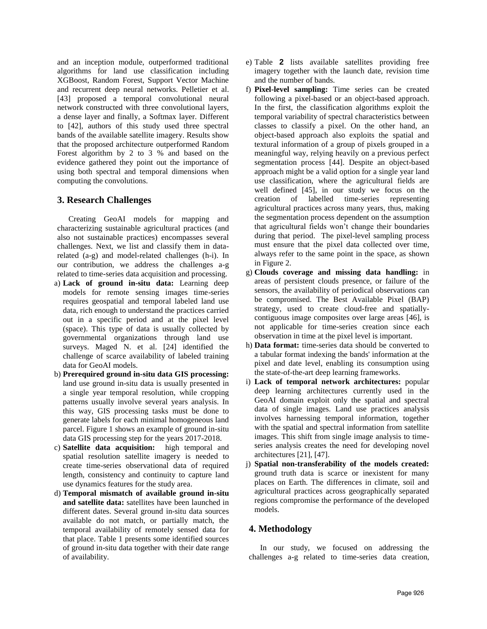and an inception module, outperformed traditional algorithms for land use classification including XGBoost, Random Forest, Support Vector Machine and recurrent deep neural networks. Pelletier et al. [43] proposed a temporal convolutional neural network constructed with three convolutional layers, a dense layer and finally, a Softmax layer. Different to [42], authors of this study used three spectral bands of the available satellite imagery. Results show that the proposed architecture outperformed Random Forest algorithm by 2 to 3 % and based on the evidence gathered they point out the importance of using both spectral and temporal dimensions when computing the convolutions.

### **3. Research Challenges**

Creating GeoAI models for mapping and characterizing sustainable agricultural practices (and also not sustainable practices) encompasses several challenges. Next, we list and classify them in datarelated (a-g) and model-related challenges (h-i). In our contribution, we address the challenges a-g related to time-series data acquisition and processing.

- a) **Lack of ground in-situ data:** Learning deep models for remote sensing images time-series requires geospatial and temporal labeled land use data, rich enough to understand the practices carried out in a specific period and at the pixel level (space). This type of data is usually collected by governmental organizations through land use surveys. Maged N. et al. [24] identified the challenge of scarce availability of labeled training data for GeoAI models.
- b) **Prerequired ground in-situ data GIS processing:** land use ground in-situ data is usually presented in a single year temporal resolution, while cropping patterns usually involve several years analysis. In this way, GIS processing tasks must be done to generate labels for each minimal homogeneous land parcel[. Figure 1](#page-5-0) shows an example of ground in-situ data GIS processing step for the years 2017-2018.
- c) **Satellite data acquisition:** high temporal and spatial resolution satellite imagery is needed to create time-series observational data of required length, consistency and continuity to capture land use dynamics features for the study area.
- <span id="page-4-0"></span>d) **Temporal mismatch of available ground in-situ and satellite data:** satellites have been launched in different dates. Several ground in-situ data sources available do not match, or partially match, the temporal availability of remotely sensed data for that place. [Table 1](#page-5-1) presents some identified sources of ground in-situ data together with their date range of availability.
- e) [Table](#page-5-2) 2 lists available satellites providing free imagery together with the launch date, revision time and the number of bands.
- <span id="page-4-1"></span>f) **Pixel-level sampling:** Time series can be created following a pixel-based or an object-based approach. In the first, the classification algorithms exploit the temporal variability of spectral characteristics between classes to classify a pixel. On the other hand, an object-based approach also exploits the spatial and textural information of a group of pixels grouped in a meaningful way, relying heavily on a previous perfect segmentation process [44]. Despite an object-based approach might be a valid option for a single year land use classification, where the agricultural fields are well defined [45], in our study we focus on the creation of labelled time-series representing agricultural practices across many years, thus, making the segmentation process dependent on the assumption that agricultural fields won't change their boundaries during that period. The pixel-level sampling process must ensure that the pixel data collected over time, always refer to the same point in the space, as shown in [Figure](#page-6-0) 2.
- <span id="page-4-3"></span>g) **Clouds coverage and missing data handling:** in areas of persistent clouds presence, or failure of the sensors, the availability of periodical observations can be compromised. The Best Available Pixel (BAP) strategy, used to create cloud-free and spatiallycontiguous image composites over large areas [46], is not applicable for time-series creation since each observation in time at the pixel level is important.
- <span id="page-4-2"></span>h) **Data format:** time-series data should be converted to a tabular format indexing the bands' information at the pixel and date level, enabling its consumption using the state-of-the-art deep learning frameworks.
- i) **Lack of temporal network architectures:** popular deep learning architectures currently used in the GeoAI domain exploit only the spatial and spectral data of single images. Land use practices analysis involves harnessing temporal information, together with the spatial and spectral information from satellite images. This shift from single image analysis to timeseries analysis creates the need for developing novel architectures [21], [47].
- j) **Spatial non-transferability of the models created:** ground truth data is scarce or inexistent for many places on Earth. The differences in climate, soil and agricultural practices across geographically separated regions compromise the performance of the developed models.

### **4. Methodology**

In our study, we focused on addressing the challenges a-g related to time-series data creation,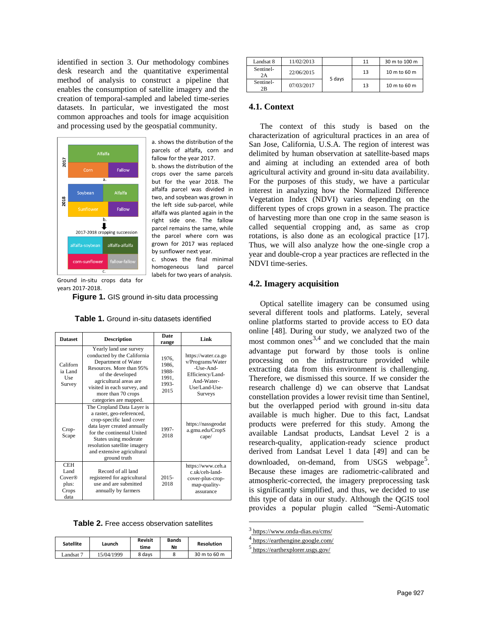identified in section 3. Our methodology combines desk research and the quantitative experimental method of analysis to construct a pipeline that enables the consumption of satellite imagery and the creation of temporal-sampled and labeled time-series datasets. In particular, we investigated the most common approaches and tools for image acquisition and processing used by the geospatial community.



a. shows the distribution of the parcels of alfalfa, corn and fallow for the year 2017.

b. shows the distribution of the crops over the same parcels but for the year 2018. The alfalfa parcel was divided in two, and soybean was grown in the left side sub-parcel, while alfalfa was planted again in the right side one. The fallow parcel remains the same, while the parcel where corn was grown for 2017 was replaced by sunflower next year.

c. shows the final minimal homogeneous land parcel labels for two years of analysis.

<span id="page-5-0"></span>Ground in-situ crops data for years 2017-2018.

Figure 1. GIS ground in-situ data processing

Table 1. Ground in-situ datasets identified

<span id="page-5-1"></span>

| <b>Dataset</b>                                         | <b>Description</b>                                                                                                                                                                                                                                      | Date<br>range                                     | Link                                                                                                               |
|--------------------------------------------------------|---------------------------------------------------------------------------------------------------------------------------------------------------------------------------------------------------------------------------------------------------------|---------------------------------------------------|--------------------------------------------------------------------------------------------------------------------|
| Californ<br>ia Land<br>Use<br>Survey                   | Yearly land use survey<br>conducted by the California<br>Department of Water<br>Resources. More than 95%<br>of the developed<br>agricultural areas are<br>visited in each survey, and<br>more than 70 crops<br>categories are mapped.                   | 1976,<br>1986.<br>1988-<br>1991,<br>1993-<br>2015 | https://water.ca.go<br>v/Programs/Water<br>-Use-And-<br>Efficiency/Land-<br>And-Water-<br>Use/Land-Use-<br>Surveys |
| Crop-<br>Scape                                         | The Cropland Data Layer is<br>a raster, geo-referenced,<br>crop-specific land cover<br>data layer created annually<br>for the continental United<br>States using moderate<br>resolution satellite imagery<br>and extensive agricultural<br>ground truth | 1997-<br>2018                                     | https://nassgeodat<br>a.gmu.edu/CropS<br>cape/                                                                     |
| <b>CEH</b><br>Land<br>Cover@<br>plus:<br>Crops<br>data | Record of all land<br>registered for agricultural<br>use and are submitted<br>annually by farmers                                                                                                                                                       | $2015 -$<br>2018                                  | https://www.ceh.a<br>c.uk/ceh-land-<br>cover-plus-crop-<br>map-quality-<br>assurance                               |

<span id="page-5-2"></span>Table 2. Free access observation satellites

| <b>Satellite</b> | Launch     | Revisit<br>time | <b>Bands</b><br>N <sub>2</sub> | <b>Resolution</b> |
|------------------|------------|-----------------|--------------------------------|-------------------|
| andsat 7         | 15/04/1999 | 8 davs          |                                | 30 m to 60 m      |

| Landsat 8       | 11/02/2013 |        | 11 | 30 m to 100 m |
|-----------------|------------|--------|----|---------------|
| Sentinel-<br>2A | 22/06/2015 | 5 days | 13 | 10 m to 60 m  |
| Sentinel-<br>2B | 07/03/2017 |        | 13 | 10 m to 60 m  |

#### **4.1. Context**

The context of this study is based on the characterization of agricultural practices in an area of San Jose, California, U.S.A. The region of interest was delimited by human observation at satellite-based maps and aiming at including an extended area of both agricultural activity and ground in-situ data availability. For the purposes of this study, we have a particular interest in analyzing how the Normalized Difference Vegetation Index (NDVI) varies depending on the different types of crops grown in a season. The practice of harvesting more than one crop in the same season is called sequential cropping and, as same as crop rotations, is also done as an ecological practice [17]. Thus, we will also analyze how the one-single crop a year and double-crop a year practices are reflected in the NDVI time-series.

#### **4.2. Imagery acquisition**

Optical satellite imagery can be consumed using several different tools and platforms. Lately, several online platforms started to provide access to EO data online [48]. During our study, we analyzed two of the most common ones<sup>3,4</sup> and we concluded that the main advantage put forward by those tools is online processing on the infrastructure provided while extracting data from this environment is challenging. Therefore, we dismissed this source. If we consider the research challenge [d\)](#page-4-0) we can observe that Landsat constellation provides a lower revisit time than Sentinel, but the overlapped period with ground in-situ data available is much higher. Due to this fact, Landsat products were preferred for this study. Among the available Landsat products, Landsat Level 2 is a research-quality, application-ready science product derived from Landsat Level 1 data [49] and can be downloaded, on-demand, from USGS webpage<sup>5</sup>. Because these images are radiometric-calibrated and atmospheric-corrected, the imagery preprocessing task is significantly simplified, and thus, we decided to use this type of data in our study. Although the QGIS tool provides a popular plugin called "Semi-Automatic

 $\overline{a}$ 

<sup>3</sup> <https://www.onda-dias.eu/cms/>

<sup>4</sup> <https://earthengine.google.com/>

<sup>5</sup> <https://earthexplorer.usgs.gov/>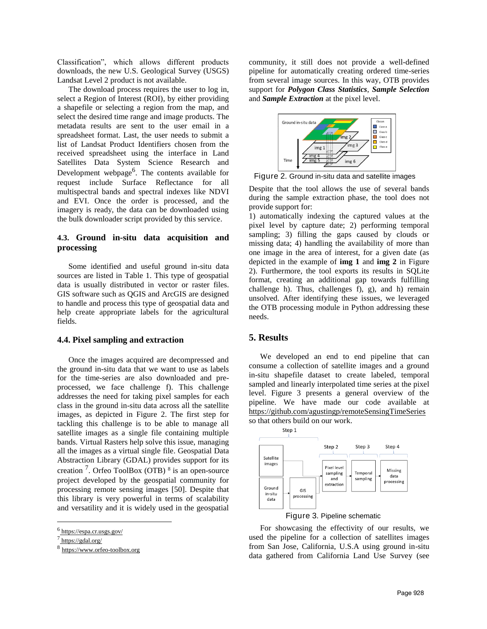Classification", which allows different products downloads, the new U.S. Geological Survey (USGS) Landsat Level 2 product is not available.

The download process requires the user to log in, select a Region of Interest (ROI), by either providing a shapefile or selecting a region from the map, and select the desired time range and image products. The metadata results are sent to the user email in a spreadsheet format. Last, the user needs to submit a list of Landsat Product Identifiers chosen from the received spreadsheet using the interface in Land Satellites Data System Science Research and Development webpage<sup>6</sup>. The contents available for request include Surface Reflectance for all multispectral bands and spectral indexes like NDVI and EVI. Once the order is processed, and the imagery is ready, the data can be downloaded using the bulk downloader script provided by this service.

### **4.3. Ground in-situ data acquisition and processing**

Some identified and useful ground in-situ data sources are listed in [Table 1.](#page-5-1) This type of geospatial data is usually distributed in vector or raster files. GIS software such as QGIS and ArcGIS are designed to handle and process this type of geospatial data and help create appropriate labels for the agricultural fields.

### **4.4. Pixel sampling and extraction**

Once the images acquired are decompressed and the ground in-situ data that we want to use as labels for the time-series are also downloaded and preprocessed, we face challenge [f\).](#page-4-1) This challenge addresses the need for taking pixel samples for each class in the ground in-situ data across all the satellite images, as depicted in [Figure](#page-6-0) 2. The first step for tackling this challenge is to be able to manage all satellite images as a single file containing multiple bands. Virtual Rasters help solve this issue, managing all the images as a virtual single file. Geospatial Data Abstraction Library (GDAL) provides support for its creation<sup>7</sup>. Orfeo ToolBox (OTB)<sup>8</sup> is an open-source project developed by the geospatial community for processing remote sensing images [50]. Despite that this library is very powerful in terms of scalability and versatility and it is widely used in the geospatial

 $\overline{a}$ 

community, it still does not provide a well-defined pipeline for automatically creating ordered time-series from several image sources. In this way, OTB provides support for *Polygon Class Statistics*, *Sample Selection* and *Sample Extraction* at the pixel level.



<span id="page-6-0"></span>Figure 2. Ground in-situ data and satellite images

Despite that the tool allows the use of several bands during the sample extraction phase, the tool does not provide support for:

1) automatically indexing the captured values at the pixel level by capture date; 2) performing temporal sampling; 3) filling the gaps caused by clouds or missing data; 4) handling the availability of more than one image in the area of interest, for a given date (as depicted in the example of **img 1** and **img 2** in [Figure](#page-6-0) [2\)](#page-6-0). Furthermore, the tool exports its results in SQLite format, creating an additional gap towards fulfilling challenge [h\).](#page-4-2) Thus, challenges [f\),](#page-4-1) [g\),](#page-4-3) and [h\)](#page-4-2) remain unsolved. After identifying these issues, we leveraged the OTB processing module in Python addressing these needs.

### **5. Results**

We developed an end to end pipeline that can consume a collection of satellite images and a ground in-situ shapefile dataset to create labeled, temporal sampled and linearly interpolated time series at the pixel level. [Figure 3](#page-6-1) presents a general overview of the pipeline. We have made our code available at <https://github.com/agustingp/remoteSensingTimeSeries> so that others build on our work.





<span id="page-6-1"></span>For showcasing the effectivity of our results, we used the pipeline for a collection of satellites images from San Jose, California, U.S.A using ground in-situ data gathered from California Land Use Survey (see

<sup>&</sup>lt;sup>6</sup> <https://espa.cr.usgs.gov/>

<sup>&</sup>lt;sup>7</sup><https://gdal.org/>

<sup>8</sup> https://www.orfeo-toolbox.org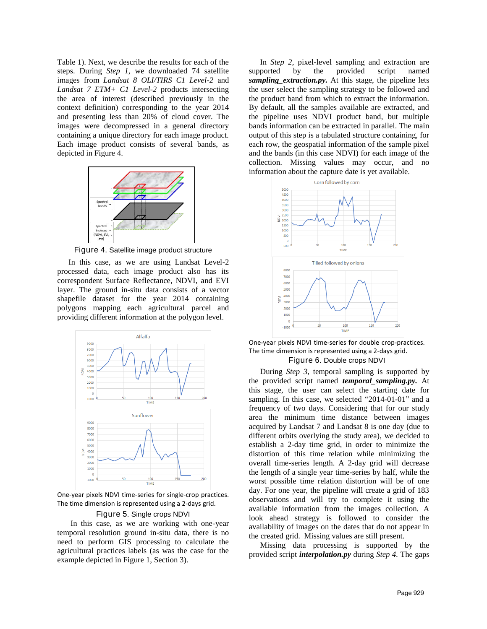[Table 1\)](#page-5-1). Next, we describe the results for each of the steps. During *Step 1*, we downloaded 74 satellite images from *Landsat 8 OLI/TIRS C1 Level-2* and *Landsat 7 ETM+ C1 Level-2* products intersecting the area of interest (described previously in the context definition) corresponding to the year 2014 and presenting less than 20% of cloud cover. The images were decompressed in a general directory containing a unique directory for each image product. Each image product consists of several bands, as depicted i[n Figure 4.](#page-7-0)



Figure 4. Satellite image product structure

<span id="page-7-0"></span>In this case, as we are using Landsat Level-2 processed data, each image product also has its correspondent Surface Reflectance, NDVI, and EVI layer. The ground in-situ data consists of a vector shapefile dataset for the year 2014 containing polygons mapping each agricultural parcel and providing different information at the polygon level.



One-year pixels NDVI time-series for single-crop practices. The time dimension is represented using a 2-days grid.

#### Figure 5. Single crops NDVI

<span id="page-7-1"></span>In this case, as we are working with one-year temporal resolution ground in-situ data, there is no need to perform GIS processing to calculate the agricultural practices labels (as was the case for the example depicted in [Figure 1,](#page-5-0) Section 3).

In *Step 2*, pixel-level sampling and extraction are supported by the provided script named *sampling extraction.py.* At this stage, the pipeline lets the user select the sampling strategy to be followed and the product band from which to extract the information. By default, all the samples available are extracted, and the pipeline uses NDVI product band, but multiple bands information can be extracted in parallel. The main output of this step is a tabulated structure containing, for each row, the geospatial information of the sample pixel and the bands (in this case NDVI) for each image of the collection. Missing values may occur, and no information about the capture date is yet available.



One-year pixels NDVI time-series for double crop-practices. The time dimension is represented using a 2-days grid. Figure 6. Double crops NDVI

<span id="page-7-2"></span>During *Step 3*, temporal sampling is supported by the provided script named *temporal\_sampling.py.* At this stage, the user can select the starting date for sampling. In this case, we selected "2014-01-01" and a frequency of two days. Considering that for our study area the minimum time distance between images acquired by Landsat 7 and Landsat 8 is one day (due to different orbits overlying the study area), we decided to establish a 2-day time grid, in order to minimize the distortion of this time relation while minimizing the overall time-series length. A 2-day grid will decrease the length of a single year time-series by half, while the worst possible time relation distortion will be of one day. For one year, the pipeline will create a grid of 183 observations and will try to complete it using the available information from the images collection. A look ahead strategy is followed to consider the availability of images on the dates that do not appear in the created grid. Missing values are still present.

Missing data processing is supported by the provided script *interpolation.py* during *Step 4.* The gaps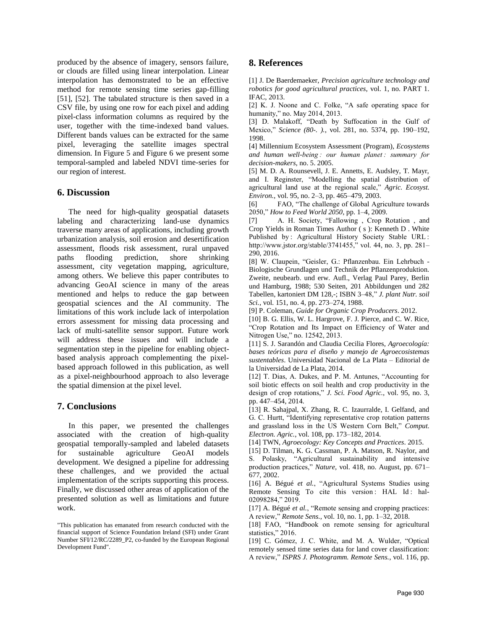produced by the absence of imagery, sensors failure, or clouds are filled using linear interpolation. Linear interpolation has demonstrated to be an effective method for remote sensing time series gap-filling [51], [52]. The tabulated structure is then saved in a CSV file, by using one row for each pixel and adding pixel-class information columns as required by the user, together with the time-indexed band values. Different bands values can be extracted for the same pixel, leveraging the satellite images spectral dimension. In [Figure 5](#page-7-1) and [Figure 6](#page-7-2) we present some temporal-sampled and labeled NDVI time-series for our region of interest.

### **6. Discussion**

The need for high-quality geospatial datasets labeling and characterizing land-use dynamics traverse many areas of applications, including growth urbanization analysis, soil erosion and desertification assessment, floods risk assessment, rural unpaved paths flooding prediction, shore shrinking assessment, city vegetation mapping, agriculture, among others. We believe this paper contributes to advancing GeoAI science in many of the areas mentioned and helps to reduce the gap between geospatial sciences and the AI community. The limitations of this work include lack of interpolation errors assessment for missing data processing and lack of multi-satellite sensor support. Future work will address these issues and will include a segmentation step in the pipeline for enabling objectbased analysis approach complementing the pixelbased approach followed in this publication, as well as a pixel-neighbourhood approach to also leverage the spatial dimension at the pixel level.

### **7. Conclusions**

In this paper, we presented the challenges associated with the creation of high-quality geospatial temporally-sampled and labeled datasets for sustainable agriculture GeoAI models development. We designed a pipeline for addressing these challenges, and we provided the actual implementation of the scripts supporting this process. Finally, we discussed other areas of application of the presented solution as well as limitations and future work.

## **8. References**

[1] J. De Baerdemaeker, *Precision agriculture technology and robotics for good agricultural practices*, vol. 1, no. PART 1. IFAC, 2013.

[2] K. J. Noone and C. Folke, "A safe operating space for humanity," no. May 2014, 2013.

[3] D. Malakoff, "Death by Suffocation in the Gulf of Mexico," *Science (80-. ).*, vol. 281, no. 5374, pp. 190–192, 1998.

[4] Millennium Ecosystem Assessment (Program), *Ecosystems and human well-being : our human planet : summary for decision-makers*, no. 5. 2005.

[5] M. D. A. Rounsevell, J. E. Annetts, E. Audsley, T. Mayr, and I. Reginster, "Modelling the spatial distribution of agricultural land use at the regional scale," *Agric. Ecosyst. Environ.*, vol. 95, no. 2–3, pp. 465–479, 2003.

[6] FAO, "The challenge of Global Agriculture towards 2050," *How to Feed World 2050*, pp. 1–4, 2009.

[7] A. H. Society, "Fallowing , Crop Rotation , and Crop Yields in Roman Times Author ( s ): Kenneth D . White Published by : Agricultural History Society Stable URL : http://www.jstor.org/stable/3741455," vol. 44, no. 3, pp. 281– 290, 2016.

[8] W. Claupein, "Geisler, G.: Pflanzenbau. Ein Lehrbuch - Biologische Grundlagen und Technik der Pflanzenproduktion. Zweite, neubearb. und erw. Aufl., Verlag Paul Parey, Berlin und Hamburg, 1988; 530 Seiten, 201 Abbildungen und 282 Tabellen, kartoniert DM 128,-; ISBN 3–48," *J. plant Nutr. soil Sci.*, vol. 151, no. 4, pp. 273–274, 1988.

[9] P. Coleman, *Guide for Organic Crop Producers*. 2012.

[10] B. G. Ellis, W. L. Hargrove, F. J. Pierce, and C. W. Rice, "Crop Rotation and Its Impact on Efficiency of Water and Nitrogen Use," no. 12542, 2013.

[11] S. J. Sarandón and Claudia Cecilia Flores, *Agroecología: bases teóricas para el diseño y manejo de Agroecosistemas sustentables*. Universidad Nacional de La Plata – Editorial de la Universidad de La Plata, 2014.

[12] T. Dias, A. Dukes, and P. M. Antunes, "Accounting for soil biotic effects on soil health and crop productivity in the design of crop rotations," *J. Sci. Food Agric.*, vol. 95, no. 3, pp. 447–454, 2014.

[13] R. Sahajpal, X. Zhang, R. C. Izaurralde, I. Gelfand, and G. C. Hurtt, "Identifying representative crop rotation patterns and grassland loss in the US Western Corn Belt," *Comput. Electron. Agric.*, vol. 108, pp. 173–182, 2014.

[14] TWN, *Agroecology: Key Concepts and Practices*. 2015.

[15] D. Tilman, K. G. Cassman, P. A. Matson, R. Naylor, and S. Polasky, "Agricultural sustainability and intensive production practices," *Nature*, vol. 418, no. August, pp. 671– 677, 2002.

[16] A. Bégué *et al.*, "Agricultural Systems Studies using Remote Sensing To cite this version: HAL Id: hal-02098284," 2019.

[17] A. Bégué *et al.*, "Remote sensing and cropping practices: A review," *Remote Sens.*, vol. 10, no. 1, pp. 1–32, 2018.

[18] FAO, "Handbook on remote sensing for agricultural statistics," 2016.

[19] C. Gómez, J. C. White, and M. A. Wulder, "Optical remotely sensed time series data for land cover classification: A review," *ISPRS J. Photogramm. Remote Sens.*, vol. 116, pp.

<sup>&</sup>quot;This publication has emanated from research conducted with the financial support of Science Foundation Ireland (SFI) under Grant Number SFI/12/RC/2289\_P2, co-funded by the European Regional Development Fund".